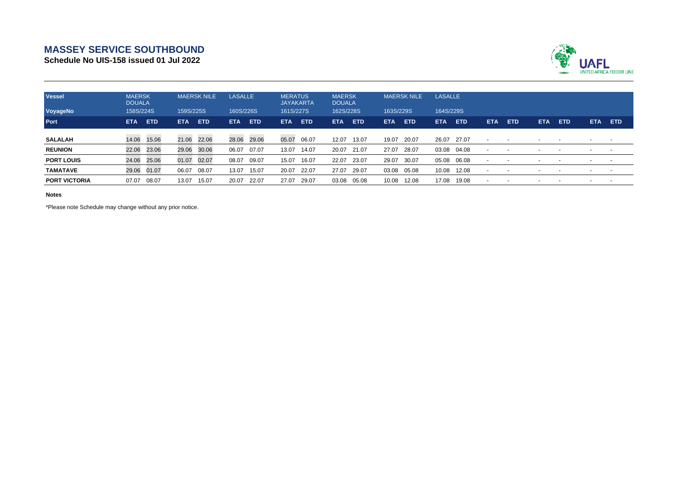## **MASSEY SERVICE SOUTHBOUND**

**Schedule No UIS-158 issued 01 Jul 2022**



| <b>Vessel</b><br>VoyageNo | <b>MAERSK</b><br><b>DOUALA</b><br>158S/224S |             | <b>MAERSK NILE</b><br>159S/225S |             | <b>LASALLE</b><br>160S/226S |            | <b>MERATUS</b><br><b>JAYAKARTA</b><br>161S/227S |            | <b>MAERSK</b><br><b>DOUALA</b><br>162S/228S |            | <b>MAERSK NILE</b><br>163S/229S |            | <b>LASALLE</b><br>164S/229S |            |                          |            |            |            |      |            |
|---------------------------|---------------------------------------------|-------------|---------------------------------|-------------|-----------------------------|------------|-------------------------------------------------|------------|---------------------------------------------|------------|---------------------------------|------------|-----------------------------|------------|--------------------------|------------|------------|------------|------|------------|
| Port                      | <b>ETA</b>                                  | <b>ETD</b>  | <b>ETA</b>                      | <b>ETD</b>  | <b>ETA</b>                  | <b>ETD</b> | <b>ETA</b>                                      | <b>ETD</b> | ETA.                                        | <b>ETD</b> | ETA.                            | <b>ETD</b> | ETA                         | <b>ETD</b> | <b>ETA</b>               | <b>ETD</b> | <b>ETA</b> | <b>ETD</b> | ETA. | <b>ETD</b> |
| <b>SALALAH</b>            |                                             | 14.06 15.06 |                                 | 21.06 22.06 | 28.06 29.06                 |            | 05.07                                           | 06.07      | 12.07                                       | 13.07      | 19.07                           | 20.07      | 26.07 27.07                 |            | $\blacksquare$           |            |            |            |      |            |
| <b>REUNION</b>            | 22.06                                       | 23.06       | 29.06                           | 30.06       | 06.07                       | 07.07      | 13.07                                           | 14.07      | 20.07                                       | 21.07      | 27.07                           | 28.07      | 03.08 04.08                 |            | $\overline{\phantom{0}}$ |            |            |            |      |            |
| <b>PORT LOUIS</b>         | 24.06                                       | 25.06       | 01.07                           | 02.07       | 08.07                       | 09.07      | 15.07                                           | 16.07      | 22.07                                       | 23.07      | 29.07                           | 30.07      | 05.08                       | 06.08      | $\overline{\phantom{a}}$ |            |            |            |      | $\sim$     |
| <b>TAMATAVE</b>           | 29.06                                       | 01.07       | 06.07                           | 08.07       | 13.07                       | 15.07      | 20.07                                           | 22.07      | 27.07                                       | 29.07      | 03.08                           | 05.08      | 10.08                       | 12.08      | $\overline{\phantom{0}}$ |            |            |            |      |            |
| <b>PORT VICTORIA</b>      | 07.07                                       | 08.07       | 13.07                           | 15.07       | 20.07                       | 22.07      | 27.07                                           | 29.07      | 03.08                                       | 05.08      | 10.08                           | 12.08      | 17.08                       | 19.08      | $\overline{\phantom{0}}$ |            |            |            |      |            |

**Notes**

\*Please note Schedule may change without any prior notice.